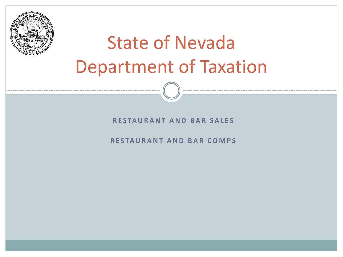

# State of Nevada Department of Taxation

#### **R E S TA U R A N T A N D B A R S A L E S**

**R E S TA U R A N T A N D B A R C O M P S**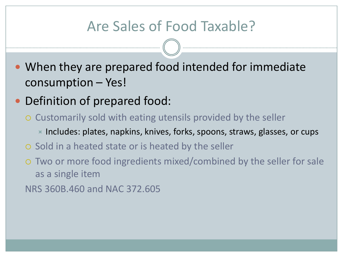# Are Sales of Food Taxable?

- When they are prepared food intended for immediate consumption – Yes!
- Definition of prepared food:
	- Customarily sold with eating utensils provided by the seller
		- $\blacktriangleright$  Includes: plates, napkins, knives, forks, spoons, straws, glasses, or cups
	- $\circ$  Sold in a heated state or is heated by the seller
	- Two or more food ingredients mixed/combined by the seller for sale as a single item

NRS 360B.460 and NAC 372.605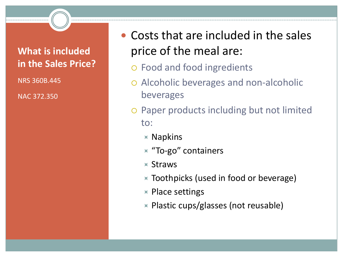#### **What is included in the Sales Price?**

NRS 360B.445

NAC 372.350

- Costs that are included in the sales price of the meal are:
	- Food and food ingredients
	- Alcoholic beverages and non-alcoholic beverages
	- Paper products including but not limited to:
		- $\times$  Napkins
		- **TO-go"** containers
		- $\mathbf x$  Straws
		- $\times$  Toothpicks (used in food or beverage)
		- $\times$  Place settings
		- $\times$  Plastic cups/glasses (not reusable)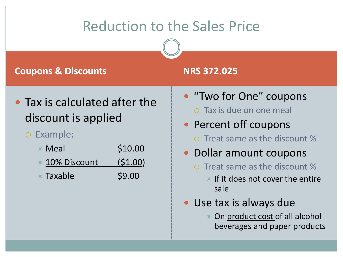# Reduction to the Sales Price

#### **Coupons & Discounts NRS 372.025**

- Tax is calculated after the discount is applied
	- Example:
		- $\times$  Meal  $\phantom{000}$   $\phantom{000}$   $\phantom{000}$   $\phantom{000}$   $\phantom{000}$   $\phantom{000}$   $\phantom{000}$   $\phantom{000}$   $\phantom{000}$   $\phantom{000}$
		- $\times$  10% Discount (\$1.00)
		- $\times$  Taxable  $\sim$  \$9.00

- "Two for One" coupons
	- Tax is due on one meal
- Percent off coupons
	- Treat same as the discount %
- Dollar amount coupons
	- Treat same as the discount %
		- $\times$  If it does not cover the entire sale
- Use tax is always due
	- On product cost of all alcohol beverages and paper products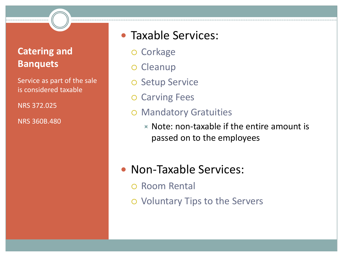#### **Catering and Banquets**

Service as part of the sale is considered taxable

NRS 372.025

NRS 360B.480

#### • Taxable Services:

- o Corkage
- o Cleanup
- o Setup Service
- o Carving Fees
- Mandatory Gratuities
	- $\times$  Note: non-taxable if the entire amount is passed on to the employees
- Non-Taxable Services:
	- Room Rental
	- Voluntary Tips to the Servers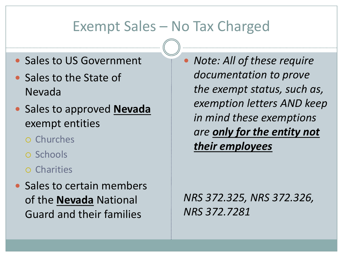# Exempt Sales – No Tax Charged

- Sales to US Government
- Sales to the State of Nevada
- Sales to approved **Nevada** exempt entities
	- Churches
	- Schools
	- Charities
- Sales to certain members of the **Nevada** National Guard and their families

 *Note: All of these require documentation to prove the exempt status, such as, exemption letters AND keep in mind these exemptions are only for the entity not their employees*

*NRS 372.325, NRS 372.326, NRS 372.7281*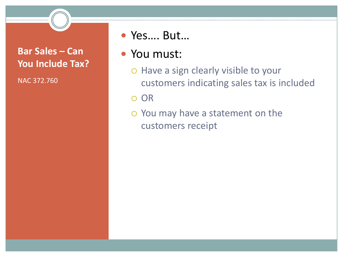#### **Bar Sales – Can You Include Tax?**

NAC 372.760

#### Yes…. But…

#### You must:

o Have a sign clearly visible to your customers indicating sales tax is included

OR

 You may have a statement on the customers receipt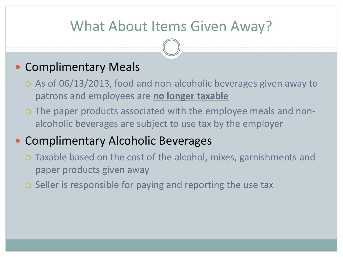# What About Items Given Away?

### • Complimentary Meals

- As of 06/13/2013, food and non-alcoholic beverages given away to patrons and employees are **no longer taxable**
- The paper products associated with the employee meals and nonalcoholic beverages are subject to use tax by the employer

# • Complimentary Alcoholic Beverages

- Taxable based on the cost of the alcohol, mixes, garnishments and paper products given away
- o Seller is responsible for paying and reporting the use tax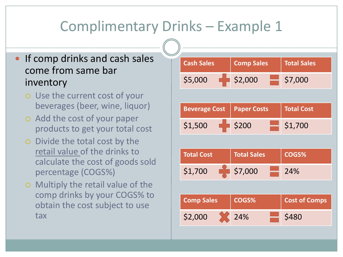# Complimentary Drinks – Example 1

#### • If comp drinks and cash sales come from same bar inventory

- Use the current cost of your beverages (beer, wine, liquor)
- Add the cost of your paper products to get your total cost
- Divide the total cost by the retail value of the drinks to calculate the cost of goods sold percentage (COGS%)
- Multiply the retail value of the comp drinks by your COGS% to obtain the cost subject to use tax

| <b>Cash Sales</b> |  | <b>Comp Sales</b> | <b>Total Sales</b> |
|-------------------|--|-------------------|--------------------|
| \$5,000           |  | \$2,000           | \$7,000            |
|                   |  |                   |                    |
|                   |  |                   |                    |

|         | <b>Beverage Cost   Paper Costs  </b> | $\vert\,\,\vert$ Total Cost $\vert$ |
|---------|--------------------------------------|-------------------------------------|
| \$1,500 | $\frac{1}{2}$ \$200                  | $\frac{1}{2}$ \$1,700               |

| <b>Total Cost</b> |  | <b>Total Sales</b>      |  | COGS% |
|-------------------|--|-------------------------|--|-------|
| \$1,700           |  | $\frac{1}{200}$ \$7,000 |  | 24%   |

| <b>Comp Sales</b> | COGS% | Cost of Comps |
|-------------------|-------|---------------|
| \$2,000           | 24%   | \$480         |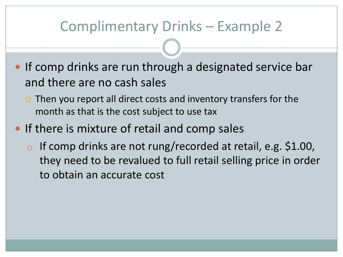# Complimentary Drinks – Example 2

- **If comp drinks are run through a designated service bar** and there are no cash sales
	- $\circ$  Then you report all direct costs and inventory transfers for the month as that is the cost subject to use tax
- If there is mixture of retail and comp sales
	- o If comp drinks are not rung/recorded at retail, e.g. \$1.00, they need to be revalued to full retail selling price in order to obtain an accurate cost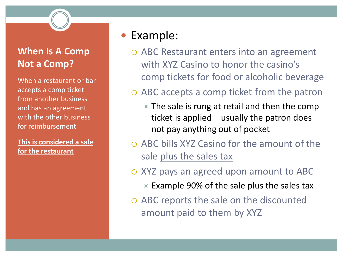#### **When Is A Comp Not a Comp?**

When a restaurant or bar accepts a comp ticket from another business and has an agreement with the other business for reimbursement

**This is considered a sale for the restaurant** 

## Example:

 ABC Restaurant enters into an agreement with XYZ Casino to honor the casino's comp tickets for food or alcoholic beverage

#### ABC accepts a comp ticket from the patron

- $\times$  The sale is rung at retail and then the comp ticket is applied – usually the patron does not pay anything out of pocket
- $\circ$  ABC bills XYZ Casino for the amount of the sale plus the sales tax

#### XYZ pays an agreed upon amount to ABC

- $\times$  Example 90% of the sale plus the sales tax
- ABC reports the sale on the discounted amount paid to them by XYZ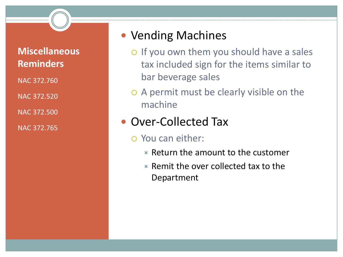#### **Miscellaneous Reminders**

NAC 372.760

NAC 372.520

NAC 372.500

NAC 372.765

#### Vending Machines

- o If you own them you should have a sales tax included sign for the items similar to bar beverage sales
- A permit must be clearly visible on the machine

### Over-Collected Tax

- You can either:
	- $\times$  Return the amount to the customer
	- $\times$  Remit the over collected tax to the Department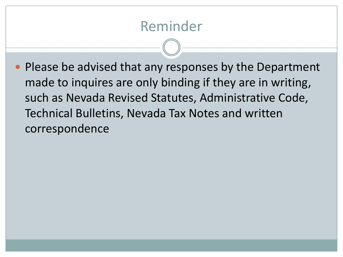# Reminder

• Please be advised that any responses by the Department made to inquires are only binding if they are in writing, such as Nevada Revised Statutes, Administrative Code, Technical Bulletins, Nevada Tax Notes and written correspondence